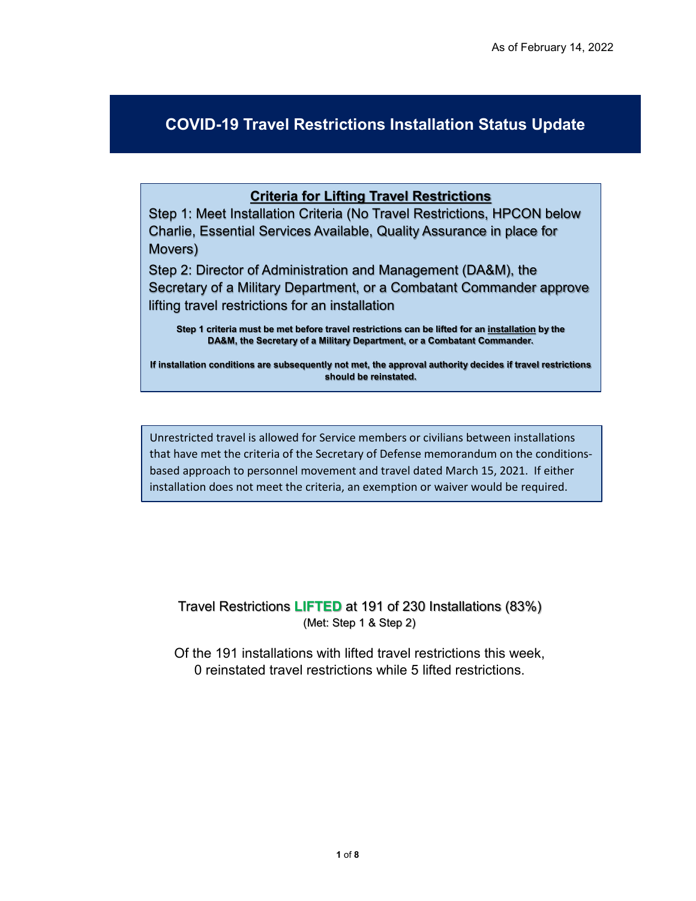## **COVID-19 Travel Restrictions Installation Status Update**

## **Criteria for Lifting Travel Restrictions**

Step 1: Meet Installation Criteria (No Travel Restrictions, HPCON below Charlie, Essential Services Available, Quality Assurance in place for Movers)

Step 2: Director of Administration and Management (DA&M), the Secretary of a Military Department, or a Combatant Commander approve lifting travel restrictions for an installation

**Step 1 criteria must be met before travel restrictions can be lifted for an installation by the DA&M, the Secretary of a Military Department, or a Combatant Commander.** 

**If installation conditions are subsequently not met, the approval authority decides if travel restrictions should be reinstated.** 

Unrestricted travel is allowed for Service members or civilians between installations that have met the criteria of the Secretary of Defense memorandum on the conditionsbased approach to personnel movement and travel dated March 15, 2021. If either installation does not meet the criteria, an exemption or waiver would be required.

Travel Restrictions **LIFTED** at 191 of 230 Installations (83%) (Met: Step 1 & Step 2)

Of the 191 installations with lifted travel restrictions this week, 0 reinstated travel restrictions while 5 lifted restrictions.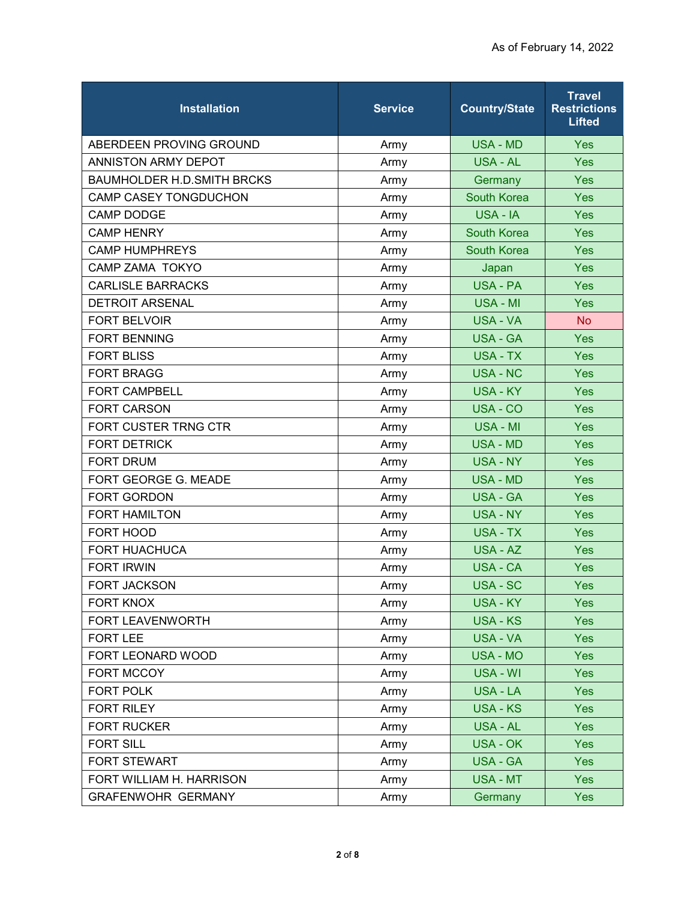| <b>Installation</b>               | <b>Service</b> | <b>Country/State</b> | <b>Travel</b><br><b>Restrictions</b><br><b>Lifted</b> |
|-----------------------------------|----------------|----------------------|-------------------------------------------------------|
| ABERDEEN PROVING GROUND           | Army           | <b>USA - MD</b>      | <b>Yes</b>                                            |
| <b>ANNISTON ARMY DEPOT</b>        | Army           | USA - AL             | Yes                                                   |
| <b>BAUMHOLDER H.D.SMITH BRCKS</b> | Army           | Germany              | <b>Yes</b>                                            |
| <b>CAMP CASEY TONGDUCHON</b>      | Army           | <b>South Korea</b>   | <b>Yes</b>                                            |
| <b>CAMP DODGE</b>                 | Army           | USA - IA             | <b>Yes</b>                                            |
| <b>CAMP HENRY</b>                 | Army           | <b>South Korea</b>   | <b>Yes</b>                                            |
| <b>CAMP HUMPHREYS</b>             | Army           | <b>South Korea</b>   | Yes                                                   |
| <b>CAMP ZAMA TOKYO</b>            | Army           | Japan                | <b>Yes</b>                                            |
| <b>CARLISLE BARRACKS</b>          | Army           | <b>USA - PA</b>      | Yes                                                   |
| <b>DETROIT ARSENAL</b>            | Army           | <b>USA - MI</b>      | Yes                                                   |
| <b>FORT BELVOIR</b>               | Army           | USA - VA             | <b>No</b>                                             |
| <b>FORT BENNING</b>               | Army           | <b>USA - GA</b>      | Yes                                                   |
| <b>FORT BLISS</b>                 | Army           | <b>USA - TX</b>      | <b>Yes</b>                                            |
| <b>FORT BRAGG</b>                 | Army           | <b>USA - NC</b>      | Yes                                                   |
| <b>FORT CAMPBELL</b>              | Army           | <b>USA - KY</b>      | Yes                                                   |
| <b>FORT CARSON</b>                | Army           | USA - CO             | Yes                                                   |
| FORT CUSTER TRNG CTR              | Army           | USA - MI             | Yes                                                   |
| <b>FORT DETRICK</b>               | Army           | <b>USA - MD</b>      | <b>Yes</b>                                            |
| <b>FORT DRUM</b>                  | Army           | <b>USA - NY</b>      | Yes                                                   |
| FORT GEORGE G. MEADE              | Army           | <b>USA - MD</b>      | <b>Yes</b>                                            |
| FORT GORDON                       | Army           | <b>USA - GA</b>      | Yes                                                   |
| <b>FORT HAMILTON</b>              | Army           | USA - NY             | Yes                                                   |
| FORT HOOD                         | Army           | <b>USA - TX</b>      | <b>Yes</b>                                            |
| <b>FORT HUACHUCA</b>              | Army           | USA - AZ             | Yes                                                   |
| <b>FORT IRWIN</b>                 | Army           | <b>USA - CA</b>      | <b>Yes</b>                                            |
| <b>FORT JACKSON</b>               | Army           | USA - SC             | Yes                                                   |
| <b>FORT KNOX</b>                  | Army           | <b>USA - KY</b>      | Yes                                                   |
| FORT LEAVENWORTH                  | Army           | <b>USA - KS</b>      | <b>Yes</b>                                            |
| <b>FORT LEE</b>                   | Army           | <b>USA - VA</b>      | <b>Yes</b>                                            |
| FORT LEONARD WOOD                 | Army           | <b>USA - MO</b>      | <b>Yes</b>                                            |
| FORT MCCOY                        | Army           | USA - WI             | Yes                                                   |
| FORT POLK                         | Army           | USA - LA             | <b>Yes</b>                                            |
| <b>FORT RILEY</b>                 | Army           | <b>USA - KS</b>      | Yes                                                   |
| <b>FORT RUCKER</b>                | Army           | USA - AL             | <b>Yes</b>                                            |
| <b>FORT SILL</b>                  | Army           | <b>USA - OK</b>      | <b>Yes</b>                                            |
| FORT STEWART                      | Army           | <b>USA - GA</b>      | <b>Yes</b>                                            |
| FORT WILLIAM H. HARRISON          | Army           | USA - MT             | Yes                                                   |
| <b>GRAFENWOHR GERMANY</b>         | Army           | Germany              | Yes                                                   |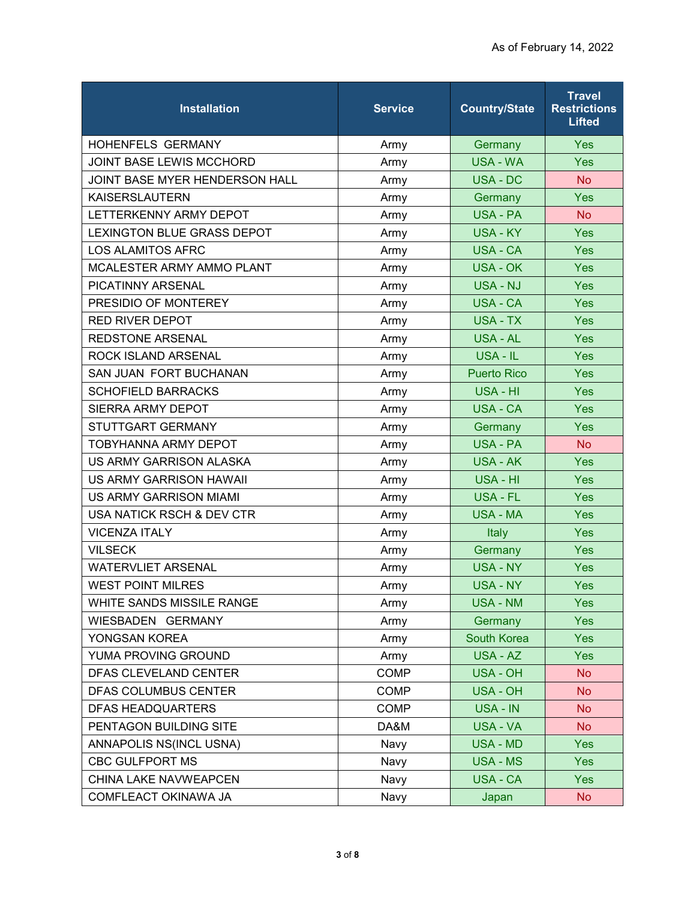| <b>Installation</b>               | <b>Service</b> | <b>Country/State</b> | <b>Travel</b><br><b>Restrictions</b><br><b>Lifted</b> |
|-----------------------------------|----------------|----------------------|-------------------------------------------------------|
| <b>HOHENFELS GERMANY</b>          | Army           | Germany              | <b>Yes</b>                                            |
| JOINT BASE LEWIS MCCHORD          | Army           | <b>USA - WA</b>      | Yes                                                   |
| JOINT BASE MYER HENDERSON HALL    | Army           | <b>USA - DC</b>      | <b>No</b>                                             |
| <b>KAISERSLAUTERN</b>             | Army           | Germany              | Yes                                                   |
| LETTERKENNY ARMY DEPOT            | Army           | <b>USA - PA</b>      | <b>No</b>                                             |
| <b>LEXINGTON BLUE GRASS DEPOT</b> | Army           | <b>USA - KY</b>      | <b>Yes</b>                                            |
| <b>LOS ALAMITOS AFRC</b>          | Army           | USA - CA             | Yes                                                   |
| MCALESTER ARMY AMMO PLANT         | Army           | <b>USA - OK</b>      | <b>Yes</b>                                            |
| PICATINNY ARSENAL                 | Army           | <b>USA - NJ</b>      | Yes                                                   |
| PRESIDIO OF MONTEREY              | Army           | USA - CA             | Yes                                                   |
| <b>RED RIVER DEPOT</b>            | Army           | <b>USA - TX</b>      | <b>Yes</b>                                            |
| <b>REDSTONE ARSENAL</b>           | Army           | <b>USA - AL</b>      | Yes                                                   |
| ROCK ISLAND ARSENAL               | Army           | USA - IL             | <b>Yes</b>                                            |
| SAN JUAN FORT BUCHANAN            | Army           | <b>Puerto Rico</b>   | Yes                                                   |
| <b>SCHOFIELD BARRACKS</b>         | Army           | USA - HI             | <b>Yes</b>                                            |
| SIERRA ARMY DEPOT                 | Army           | <b>USA - CA</b>      | <b>Yes</b>                                            |
| STUTTGART GERMANY                 | Army           | Germany              | Yes                                                   |
| <b>TOBYHANNA ARMY DEPOT</b>       | Army           | <b>USA - PA</b>      | <b>No</b>                                             |
| US ARMY GARRISON ALASKA           | Army           | <b>USA - AK</b>      | Yes                                                   |
| US ARMY GARRISON HAWAII           | Army           | USA - HI             | <b>Yes</b>                                            |
| <b>US ARMY GARRISON MIAMI</b>     | Army           | <b>USA - FL</b>      | <b>Yes</b>                                            |
| USA NATICK RSCH & DEV CTR         | Army           | USA - MA             | <b>Yes</b>                                            |
| <b>VICENZA ITALY</b>              | Army           | Italy                | <b>Yes</b>                                            |
| <b>VILSECK</b>                    | Army           | Germany              | Yes                                                   |
| <b>WATERVLIET ARSENAL</b>         | Army           | <b>USA - NY</b>      | <b>Yes</b>                                            |
| <b>WEST POINT MILRES</b>          | Army           | <b>USA - NY</b>      | <b>Yes</b>                                            |
| WHITE SANDS MISSILE RANGE         | Army           | <b>USA - NM</b>      | <b>Yes</b>                                            |
| WIESBADEN GERMANY                 | Army           | Germany              | Yes                                                   |
| YONGSAN KOREA                     | Army           | South Korea          | <b>Yes</b>                                            |
| YUMA PROVING GROUND               | Army           | USA - AZ             | <b>Yes</b>                                            |
| DFAS CLEVELAND CENTER             | <b>COMP</b>    | <b>USA - OH</b>      | <b>No</b>                                             |
| DFAS COLUMBUS CENTER              | <b>COMP</b>    | <b>USA - OH</b>      | No                                                    |
| <b>DFAS HEADQUARTERS</b>          | <b>COMP</b>    | USA - IN             | <b>No</b>                                             |
| PENTAGON BUILDING SITE            | DA&M           | USA - VA             | <b>No</b>                                             |
| ANNAPOLIS NS(INCL USNA)           | Navy           | <b>USA - MD</b>      | Yes                                                   |
| CBC GULFPORT MS                   | Navy           | <b>USA - MS</b>      | Yes                                                   |
| CHINA LAKE NAVWEAPCEN             | Navy           | <b>USA - CA</b>      | <b>Yes</b>                                            |
| COMFLEACT OKINAWA JA              | Navy           | Japan                | <b>No</b>                                             |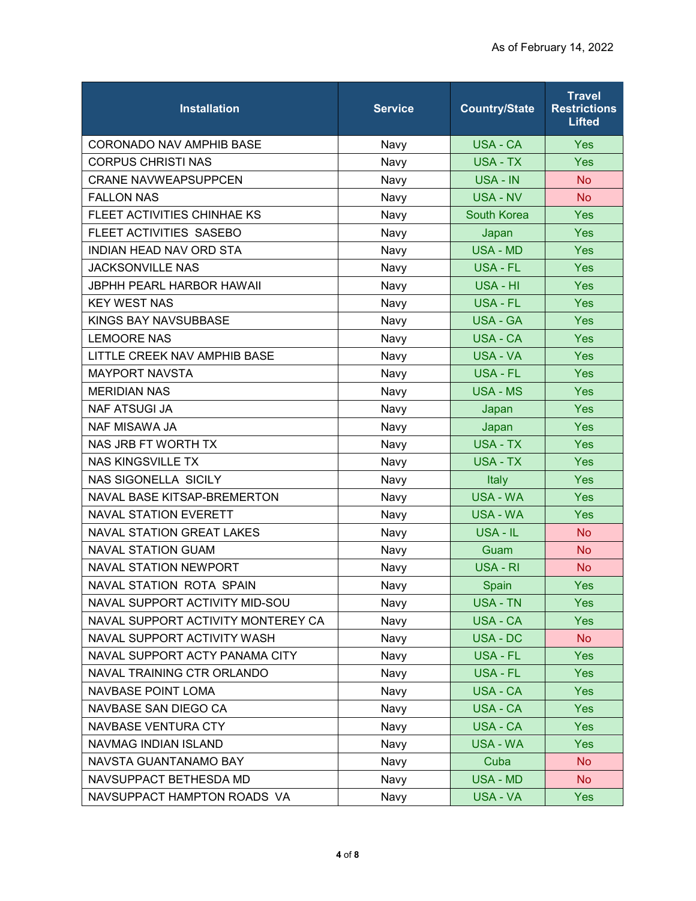| <b>Installation</b>                | <b>Service</b> | <b>Country/State</b> | <b>Travel</b><br><b>Restrictions</b><br><b>Lifted</b> |
|------------------------------------|----------------|----------------------|-------------------------------------------------------|
| <b>CORONADO NAV AMPHIB BASE</b>    | Navy           | USA - CA             | <b>Yes</b>                                            |
| <b>CORPUS CHRISTI NAS</b>          | Navy           | USA - TX             | Yes                                                   |
| <b>CRANE NAVWEAPSUPPCEN</b>        | Navy           | USA - IN             | <b>No</b>                                             |
| <b>FALLON NAS</b>                  | Navy           | <b>USA - NV</b>      | <b>No</b>                                             |
| FLEET ACTIVITIES CHINHAE KS        | Navy           | <b>South Korea</b>   | Yes                                                   |
| FLEET ACTIVITIES SASEBO            | Navy           | Japan                | <b>Yes</b>                                            |
| INDIAN HEAD NAV ORD STA            | Navy           | <b>USA - MD</b>      | Yes                                                   |
| <b>JACKSONVILLE NAS</b>            | Navy           | USA - FL             | <b>Yes</b>                                            |
| <b>JBPHH PEARL HARBOR HAWAII</b>   | Navy           | USA - HI             | Yes                                                   |
| <b>KEY WEST NAS</b>                | Navy           | USA - FL             | Yes                                                   |
| KINGS BAY NAVSUBBASE               | Navy           | <b>USA - GA</b>      | <b>Yes</b>                                            |
| <b>LEMOORE NAS</b>                 | Navy           | <b>USA - CA</b>      | Yes                                                   |
| LITTLE CREEK NAV AMPHIB BASE       | Navy           | <b>USA - VA</b>      | <b>Yes</b>                                            |
| <b>MAYPORT NAVSTA</b>              | Navy           | USA - FL             | <b>Yes</b>                                            |
| <b>MERIDIAN NAS</b>                | Navy           | <b>USA - MS</b>      | <b>Yes</b>                                            |
| <b>NAF ATSUGI JA</b>               | Navy           | Japan                | <b>Yes</b>                                            |
| <b>NAF MISAWA JA</b>               | Navy           | Japan                | Yes                                                   |
| NAS JRB FT WORTH TX                | Navy           | <b>USA - TX</b>      | <b>Yes</b>                                            |
| <b>NAS KINGSVILLE TX</b>           | Navy           | USA - TX             | Yes                                                   |
| <b>NAS SIGONELLA SICILY</b>        | Navy           | <b>Italy</b>         | <b>Yes</b>                                            |
| NAVAL BASE KITSAP-BREMERTON        | Navy           | <b>USA - WA</b>      | <b>Yes</b>                                            |
| <b>NAVAL STATION EVERETT</b>       | Navy           | USA - WA             | <b>Yes</b>                                            |
| <b>NAVAL STATION GREAT LAKES</b>   | Navy           | USA - IL             | <b>No</b>                                             |
| <b>NAVAL STATION GUAM</b>          | Navy           | Guam                 | <b>No</b>                                             |
| <b>NAVAL STATION NEWPORT</b>       | Navy           | USA - RI             | <b>No</b>                                             |
| <b>NAVAL STATION ROTA SPAIN</b>    | Navy           | Spain                | <b>Yes</b>                                            |
| NAVAL SUPPORT ACTIVITY MID-SOU     | Navy           | USA - TN             | <b>Yes</b>                                            |
| NAVAL SUPPORT ACTIVITY MONTEREY CA | Navy           | <b>USA - CA</b>      | <b>Yes</b>                                            |
| NAVAL SUPPORT ACTIVITY WASH        | Navy           | USA - DC             | <b>No</b>                                             |
| NAVAL SUPPORT ACTY PANAMA CITY     | Navy           | USA - FL             | <b>Yes</b>                                            |
| NAVAL TRAINING CTR ORLANDO         | Navy           | USA - FL             | <b>Yes</b>                                            |
| <b>NAVBASE POINT LOMA</b>          | Navy           | USA - CA             | <b>Yes</b>                                            |
| NAVBASE SAN DIEGO CA               | Navy           | USA - CA             | <b>Yes</b>                                            |
| NAVBASE VENTURA CTY                | Navy           | USA - CA             | <b>Yes</b>                                            |
| NAVMAG INDIAN ISLAND               | Navy           | <b>USA - WA</b>      | <b>Yes</b>                                            |
| NAVSTA GUANTANAMO BAY              | Navy           | Cuba                 | <b>No</b>                                             |
| NAVSUPPACT BETHESDA MD             | Navy           | USA - MD             | N <sub>o</sub>                                        |
| NAVSUPPACT HAMPTON ROADS VA        | Navy           | USA - VA             | Yes                                                   |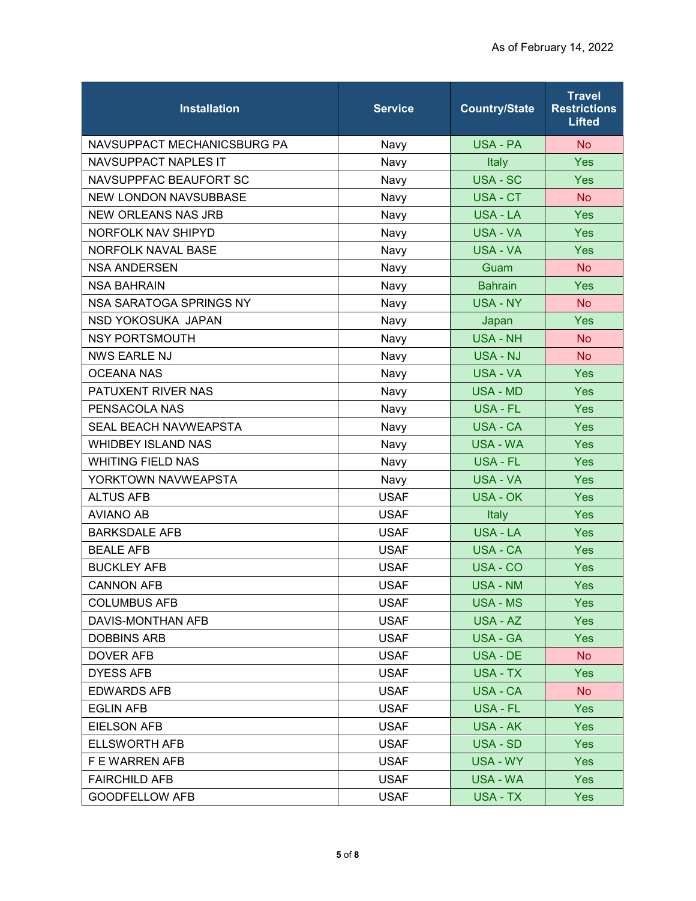| <b>Installation</b>          | <b>Service</b> | <b>Country/State</b> | <b>Travel</b><br><b>Restrictions</b><br><b>Lifted</b> |
|------------------------------|----------------|----------------------|-------------------------------------------------------|
| NAVSUPPACT MECHANICSBURG PA  | Navy           | USA - PA             | <b>No</b>                                             |
| <b>NAVSUPPACT NAPLES IT</b>  | Navy           | Italy                | Yes                                                   |
| NAVSUPPFAC BEAUFORT SC       | Navy           | USA - SC             | Yes                                                   |
| <b>NEW LONDON NAVSUBBASE</b> | Navy           | USA - CT             | <b>No</b>                                             |
| <b>NEW ORLEANS NAS JRB</b>   | Navy           | USA - LA             | Yes                                                   |
| <b>NORFOLK NAV SHIPYD</b>    | Navy           | <b>USA - VA</b>      | <b>Yes</b>                                            |
| <b>NORFOLK NAVAL BASE</b>    | Navy           | <b>USA - VA</b>      | Yes                                                   |
| <b>NSA ANDERSEN</b>          | Navy           | Guam                 | <b>No</b>                                             |
| <b>NSA BAHRAIN</b>           | Navy           | <b>Bahrain</b>       | Yes                                                   |
| NSA SARATOGA SPRINGS NY      | Navy           | <b>USA - NY</b>      | <b>No</b>                                             |
| NSD YOKOSUKA JAPAN           | Navy           | Japan                | <b>Yes</b>                                            |
| <b>NSY PORTSMOUTH</b>        | Navy           | <b>USA - NH</b>      | <b>No</b>                                             |
| <b>NWS EARLE NJ</b>          | Navy           | <b>USA - NJ</b>      | <b>No</b>                                             |
| <b>OCEANA NAS</b>            | Navy           | USA - VA             | Yes                                                   |
| PATUXENT RIVER NAS           | Navy           | <b>USA - MD</b>      | Yes                                                   |
| PENSACOLA NAS                | Navy           | USA - FL             | <b>Yes</b>                                            |
| <b>SEAL BEACH NAVWEAPSTA</b> | Navy           | <b>USA - CA</b>      | Yes                                                   |
| <b>WHIDBEY ISLAND NAS</b>    | Navy           | USA - WA             | <b>Yes</b>                                            |
| <b>WHITING FIELD NAS</b>     | Navy           | USA - FL             | Yes                                                   |
| YORKTOWN NAVWEAPSTA          | Navy           | USA - VA             | <b>Yes</b>                                            |
| <b>ALTUS AFB</b>             | <b>USAF</b>    | <b>USA - OK</b>      | <b>Yes</b>                                            |
| <b>AVIANO AB</b>             | <b>USAF</b>    | Italy                | <b>Yes</b>                                            |
| <b>BARKSDALE AFB</b>         | <b>USAF</b>    | <b>USA - LA</b>      | <b>Yes</b>                                            |
| <b>BEALE AFB</b>             | <b>USAF</b>    | <b>USA - CA</b>      | Yes                                                   |
| <b>BUCKLEY AFB</b>           | <b>USAF</b>    | USA - CO             | <b>Yes</b>                                            |
| <b>CANNON AFB</b>            | <b>USAF</b>    | <b>USA - NM</b>      | <b>Yes</b>                                            |
| <b>COLUMBUS AFB</b>          | <b>USAF</b>    | USA - MS             | <b>Yes</b>                                            |
| DAVIS-MONTHAN AFB            | <b>USAF</b>    | USA - AZ             | <b>Yes</b>                                            |
| <b>DOBBINS ARB</b>           | <b>USAF</b>    | <b>USA - GA</b>      | <b>Yes</b>                                            |
| DOVER AFB                    | <b>USAF</b>    | USA - DE             | No.                                                   |
| <b>DYESS AFB</b>             | <b>USAF</b>    | USA - TX             | <b>Yes</b>                                            |
| <b>EDWARDS AFB</b>           | <b>USAF</b>    | USA - CA             | No                                                    |
| <b>EGLIN AFB</b>             | <b>USAF</b>    | USA - FL             | <b>Yes</b>                                            |
| <b>EIELSON AFB</b>           | <b>USAF</b>    | <b>USA - AK</b>      | <b>Yes</b>                                            |
| <b>ELLSWORTH AFB</b>         | <b>USAF</b>    | USA - SD             | <b>Yes</b>                                            |
| F E WARREN AFB               | <b>USAF</b>    | USA - WY             | Yes                                                   |
| <b>FAIRCHILD AFB</b>         | <b>USAF</b>    | USA - WA             | Yes                                                   |
| <b>GOODFELLOW AFB</b>        | <b>USAF</b>    | USA - TX             | <b>Yes</b>                                            |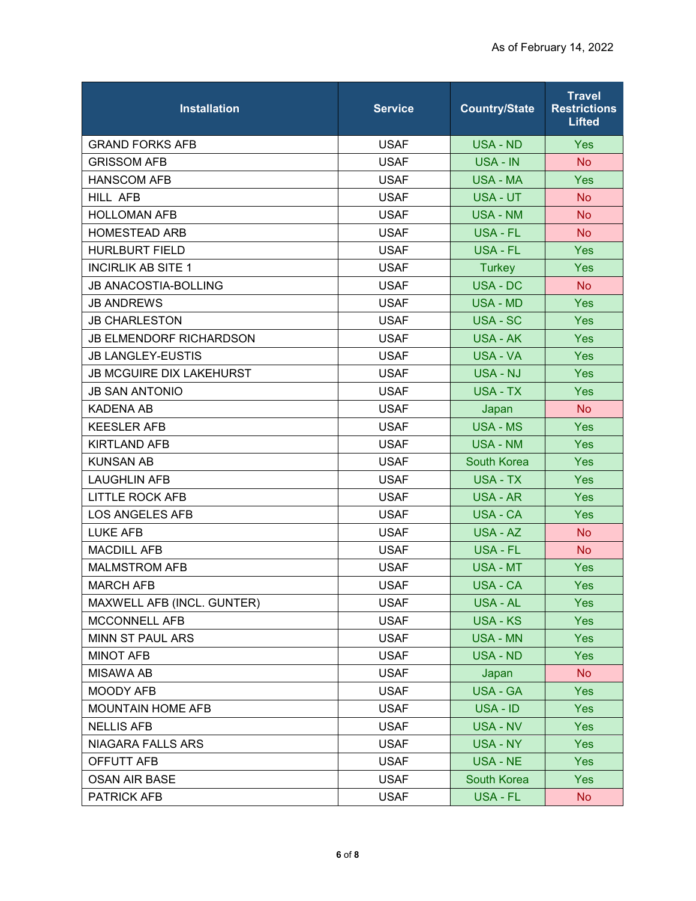| <b>Installation</b>             | <b>Service</b> | <b>Country/State</b> | <b>Travel</b><br><b>Restrictions</b><br><b>Lifted</b> |
|---------------------------------|----------------|----------------------|-------------------------------------------------------|
| <b>GRAND FORKS AFB</b>          | <b>USAF</b>    | <b>USA - ND</b>      | <b>Yes</b>                                            |
| <b>GRISSOM AFB</b>              | <b>USAF</b>    | USA - IN             | <b>No</b>                                             |
| <b>HANSCOM AFB</b>              | <b>USAF</b>    | <b>USA - MA</b>      | <b>Yes</b>                                            |
| HILL AFB                        | <b>USAF</b>    | USA - UT             | <b>No</b>                                             |
| <b>HOLLOMAN AFB</b>             | <b>USAF</b>    | <b>USA - NM</b>      | <b>No</b>                                             |
| <b>HOMESTEAD ARB</b>            | <b>USAF</b>    | USA - FL             | <b>No</b>                                             |
| <b>HURLBURT FIELD</b>           | <b>USAF</b>    | USA - FL             | Yes                                                   |
| <b>INCIRLIK AB SITE 1</b>       | <b>USAF</b>    | <b>Turkey</b>        | <b>Yes</b>                                            |
| <b>JB ANACOSTIA-BOLLING</b>     | <b>USAF</b>    | <b>USA - DC</b>      | <b>No</b>                                             |
| <b>JB ANDREWS</b>               | <b>USAF</b>    | <b>USA - MD</b>      | <b>Yes</b>                                            |
| <b>JB CHARLESTON</b>            | <b>USAF</b>    | USA - SC             | <b>Yes</b>                                            |
| <b>JB ELMENDORF RICHARDSON</b>  | <b>USAF</b>    | <b>USA - AK</b>      | <b>Yes</b>                                            |
| <b>JB LANGLEY-EUSTIS</b>        | <b>USAF</b>    | USA - VA             | <b>Yes</b>                                            |
| <b>JB MCGUIRE DIX LAKEHURST</b> | <b>USAF</b>    | USA - NJ             | Yes                                                   |
| <b>JB SAN ANTONIO</b>           | <b>USAF</b>    | <b>USA - TX</b>      | Yes                                                   |
| <b>KADENA AB</b>                | <b>USAF</b>    | Japan                | N <sub>o</sub>                                        |
| <b>KEESLER AFB</b>              | <b>USAF</b>    | <b>USA - MS</b>      | Yes                                                   |
| <b>KIRTLAND AFB</b>             | <b>USAF</b>    | <b>USA - NM</b>      | <b>Yes</b>                                            |
| <b>KUNSAN AB</b>                | <b>USAF</b>    | <b>South Korea</b>   | <b>Yes</b>                                            |
| <b>LAUGHLIN AFB</b>             | <b>USAF</b>    | USA - TX             | <b>Yes</b>                                            |
| <b>LITTLE ROCK AFB</b>          | <b>USAF</b>    | USA - AR             | <b>Yes</b>                                            |
| <b>LOS ANGELES AFB</b>          | <b>USAF</b>    | USA - CA             | <b>Yes</b>                                            |
| <b>LUKE AFB</b>                 | <b>USAF</b>    | USA - AZ             | <b>No</b>                                             |
| <b>MACDILL AFB</b>              | <b>USAF</b>    | USA - FL             | <b>No</b>                                             |
| <b>MALMSTROM AFB</b>            | <b>USAF</b>    | USA - MT             | <b>Yes</b>                                            |
| <b>MARCH AFB</b>                | <b>USAF</b>    | USA - CA             | Yes                                                   |
| MAXWELL AFB (INCL. GUNTER)      | <b>USAF</b>    | <b>USA - AL</b>      | <b>Yes</b>                                            |
| MCCONNELL AFB                   | <b>USAF</b>    | <b>USA - KS</b>      | Yes                                                   |
| MINN ST PAUL ARS                | <b>USAF</b>    | <b>USA - MN</b>      | <b>Yes</b>                                            |
| <b>MINOT AFB</b>                | <b>USAF</b>    | USA - ND             | <b>Yes</b>                                            |
| <b>MISAWA AB</b>                | <b>USAF</b>    | Japan                | <b>No</b>                                             |
| <b>MOODY AFB</b>                | <b>USAF</b>    | USA - GA             | <b>Yes</b>                                            |
| <b>MOUNTAIN HOME AFB</b>        | <b>USAF</b>    | USA - ID             | <b>Yes</b>                                            |
| <b>NELLIS AFB</b>               | <b>USAF</b>    | USA - NV             | <b>Yes</b>                                            |
| <b>NIAGARA FALLS ARS</b>        | <b>USAF</b>    | <b>USA - NY</b>      | <b>Yes</b>                                            |
| OFFUTT AFB                      | <b>USAF</b>    | USA - NE             | Yes                                                   |
| <b>OSAN AIR BASE</b>            | <b>USAF</b>    | South Korea          | <b>Yes</b>                                            |
| <b>PATRICK AFB</b>              | <b>USAF</b>    | USA - FL             | No                                                    |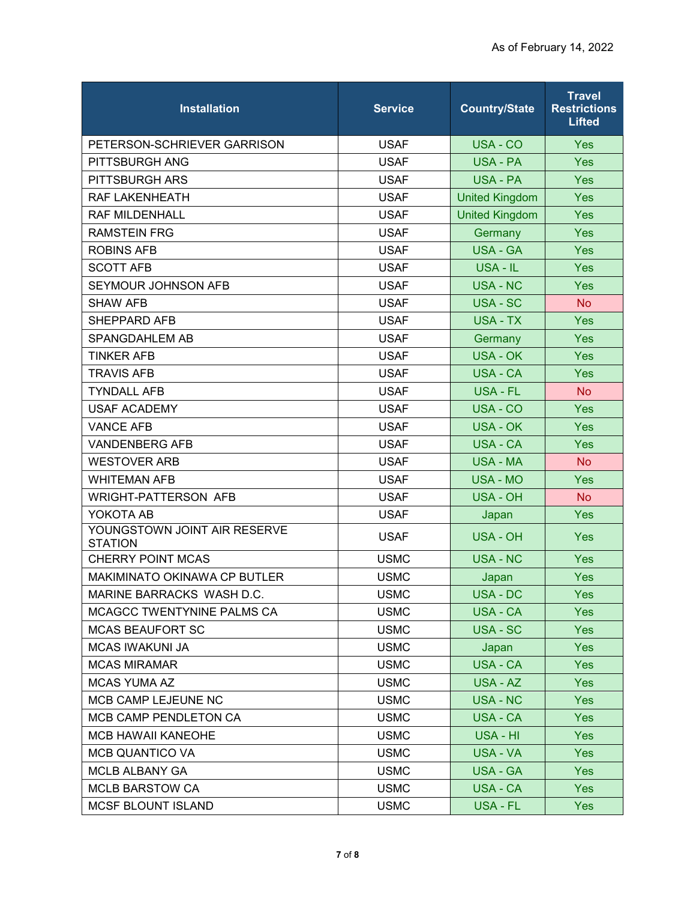| <b>Installation</b>                            | <b>Service</b> | <b>Country/State</b>  | <b>Travel</b><br><b>Restrictions</b><br><b>Lifted</b> |
|------------------------------------------------|----------------|-----------------------|-------------------------------------------------------|
| PETERSON-SCHRIEVER GARRISON                    | <b>USAF</b>    | USA - CO              | <b>Yes</b>                                            |
| PITTSBURGH ANG                                 | <b>USAF</b>    | <b>USA - PA</b>       | Yes                                                   |
| PITTSBURGH ARS                                 | <b>USAF</b>    | USA - PA              | <b>Yes</b>                                            |
| RAF LAKENHEATH                                 | <b>USAF</b>    | <b>United Kingdom</b> | <b>Yes</b>                                            |
| <b>RAF MILDENHALL</b>                          | <b>USAF</b>    | <b>United Kingdom</b> | Yes                                                   |
| <b>RAMSTEIN FRG</b>                            | <b>USAF</b>    | Germany               | <b>Yes</b>                                            |
| <b>ROBINS AFB</b>                              | <b>USAF</b>    | <b>USA - GA</b>       | Yes                                                   |
| <b>SCOTT AFB</b>                               | <b>USAF</b>    | USA - IL              | <b>Yes</b>                                            |
| SEYMOUR JOHNSON AFB                            | <b>USAF</b>    | <b>USA - NC</b>       | <b>Yes</b>                                            |
| <b>SHAW AFB</b>                                | <b>USAF</b>    | <b>USA - SC</b>       | <b>No</b>                                             |
| SHEPPARD AFB                                   | <b>USAF</b>    | <b>USA - TX</b>       | <b>Yes</b>                                            |
| SPANGDAHLEM AB                                 | <b>USAF</b>    | Germany               | <b>Yes</b>                                            |
| <b>TINKER AFB</b>                              | <b>USAF</b>    | USA - OK              | <b>Yes</b>                                            |
| <b>TRAVIS AFB</b>                              | <b>USAF</b>    | <b>USA - CA</b>       | Yes                                                   |
| <b>TYNDALL AFB</b>                             | <b>USAF</b>    | USA - FL              | <b>No</b>                                             |
| <b>USAF ACADEMY</b>                            | <b>USAF</b>    | USA - CO              | Yes                                                   |
| <b>VANCE AFB</b>                               | <b>USAF</b>    | <b>USA - OK</b>       | Yes                                                   |
| <b>VANDENBERG AFB</b>                          | <b>USAF</b>    | USA - CA              | <b>Yes</b>                                            |
| <b>WESTOVER ARB</b>                            | <b>USAF</b>    | <b>USA - MA</b>       | <b>No</b>                                             |
| <b>WHITEMAN AFB</b>                            | <b>USAF</b>    | <b>USA - MO</b>       | <b>Yes</b>                                            |
| <b>WRIGHT-PATTERSON AFB</b>                    | <b>USAF</b>    | <b>USA - OH</b>       | <b>No</b>                                             |
| YOKOTA AB                                      | <b>USAF</b>    | Japan                 | Yes                                                   |
| YOUNGSTOWN JOINT AIR RESERVE<br><b>STATION</b> | <b>USAF</b>    | <b>USA - OH</b>       | <b>Yes</b>                                            |
| <b>CHERRY POINT MCAS</b>                       | <b>USMC</b>    | <b>USA - NC</b>       | <b>Yes</b>                                            |
| MAKIMINATO OKINAWA CP BUTLER                   | <b>USMC</b>    | Japan                 | Yes                                                   |
| MARINE BARRACKS WASH D.C.                      | <b>USMC</b>    | USA - DC              | Yes                                                   |
| MCAGCC TWENTYNINE PALMS CA                     | <b>USMC</b>    | USA - CA              | <b>Yes</b>                                            |
| <b>MCAS BEAUFORT SC</b>                        | <b>USMC</b>    | USA - SC              | <b>Yes</b>                                            |
| <b>MCAS IWAKUNI JA</b>                         | <b>USMC</b>    | Japan                 | <b>Yes</b>                                            |
| <b>MCAS MIRAMAR</b>                            | <b>USMC</b>    | USA - CA              | <b>Yes</b>                                            |
| <b>MCAS YUMA AZ</b>                            | <b>USMC</b>    | USA - AZ              | <b>Yes</b>                                            |
| MCB CAMP LEJEUNE NC                            | <b>USMC</b>    | <b>USA - NC</b>       | <b>Yes</b>                                            |
| MCB CAMP PENDLETON CA                          | <b>USMC</b>    | USA - CA              | <b>Yes</b>                                            |
| <b>MCB HAWAII KANEOHE</b>                      | <b>USMC</b>    | USA - HI              | <b>Yes</b>                                            |
| <b>MCB QUANTICO VA</b>                         | <b>USMC</b>    | USA - VA              | <b>Yes</b>                                            |
| MCLB ALBANY GA                                 | <b>USMC</b>    | USA - GA              | <b>Yes</b>                                            |
| <b>MCLB BARSTOW CA</b>                         | <b>USMC</b>    | <b>USA - CA</b>       | <b>Yes</b>                                            |
| <b>MCSF BLOUNT ISLAND</b>                      | <b>USMC</b>    | USA - FL              | <b>Yes</b>                                            |